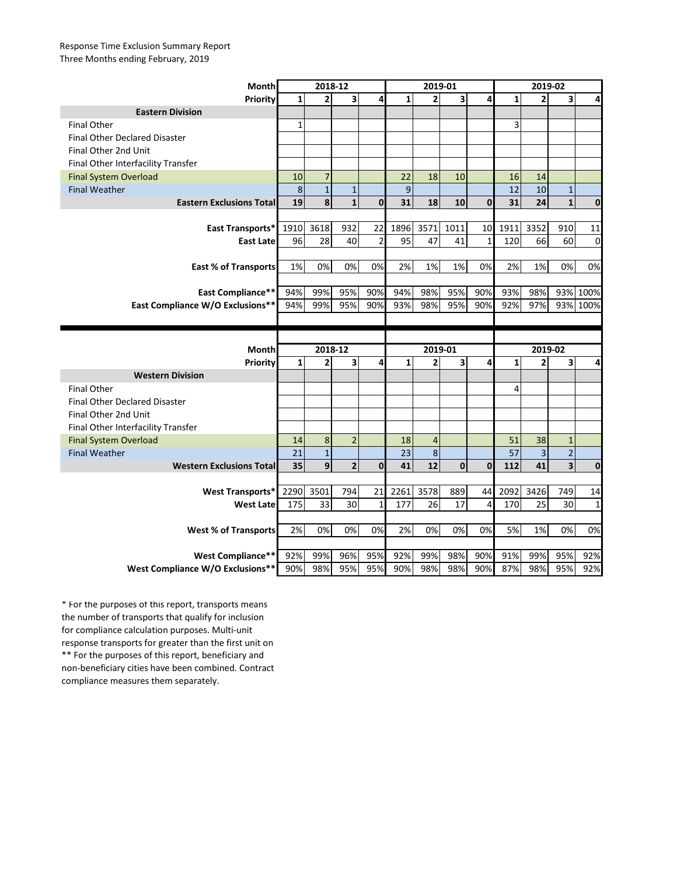## Response Time Exclusion Summary Report Three Months ending February, 2019

| <b>Month</b>                               | 2018-12 |                |                |              | 2019-01  |                |         |              | 2019-02 |                         |                             |             |
|--------------------------------------------|---------|----------------|----------------|--------------|----------|----------------|---------|--------------|---------|-------------------------|-----------------------------|-------------|
| <b>Priority</b>                            | 1       | 2              | 3              | 4            | 1        | 2              | 3       | 4            | 1       | $\overline{2}$          | 3 <sup>1</sup>              | 4           |
| <b>Eastern Division</b>                    |         |                |                |              |          |                |         |              |         |                         |                             |             |
| <b>Final Other</b>                         | 1       |                |                |              |          |                |         |              | 3       |                         |                             |             |
| <b>Final Other Declared Disaster</b>       |         |                |                |              |          |                |         |              |         |                         |                             |             |
| Final Other 2nd Unit                       |         |                |                |              |          |                |         |              |         |                         |                             |             |
| Final Other Interfacility Transfer         |         |                |                |              |          |                |         |              |         |                         |                             |             |
| <b>Final System Overload</b>               | 10      | 7              |                |              | 22       | 18             | 10      |              | 16      | 14                      |                             |             |
| <b>Final Weather</b>                       | 8       | $\mathbf{1}$   | $\mathbf{1}$   |              | 9        |                |         |              | 12      | 10                      | $\mathbf{1}$                |             |
| <b>Eastern Exclusions Total</b>            | 19      | 8              | $\mathbf{1}$   | $\mathbf{0}$ | 31       | 18             | 10      | $\mathbf{0}$ | 31      | 24                      | $1\vert$                    | $\bf{0}$    |
|                                            |         |                |                |              |          |                |         |              |         |                         |                             |             |
| <b>East Transports*</b>                    | 1910    | 3618           | 932            | 22           | 1896     | 3571           | 1011    | 10           | 1911    | 3352                    | 910                         | 11          |
| <b>East Late</b>                           | 96      | 28             | 40             | 2            | 95       | 47             | 41      | 1            | 120     | 66                      | 60                          | 0           |
|                                            |         |                |                |              |          |                |         |              |         |                         |                             |             |
| <b>East % of Transports</b>                | 1%      | 0%             | 0%             | 0%           | 2%       | 1%             | 1%      | 0%           | 2%      | 1%                      | 0%                          | 0%          |
|                                            |         |                |                |              |          |                |         |              |         |                         |                             |             |
| <b>East Compliance**</b>                   | 94%     | 99%            | 95%            | 90%          | 94%      | 98%            | 95%     | 90%          | 93%     | 98%                     | 93%                         | 100%        |
| East Compliance W/O Exclusions**           | 94%     | 99%            | 95%            | 90%          | 93%      | 98%            | 95%     | 90%          | 92%     | 97%                     |                             | 93% 100%    |
|                                            |         |                |                |              |          |                |         |              |         |                         |                             |             |
|                                            |         |                |                |              |          |                |         |              |         |                         |                             |             |
|                                            |         |                |                |              |          |                |         |              |         |                         |                             |             |
|                                            |         |                |                |              |          |                |         |              |         |                         |                             |             |
| <b>Month</b>                               | 1       | 2018-12        |                |              | 1        |                | 2019-01 | 4            | 1       | 2019-02                 |                             |             |
| <b>Priority</b><br><b>Western Division</b> |         | 2              | 3              | 4            |          | $\overline{2}$ | 3       |              |         | 2                       | 3 <sup>1</sup>              | 4           |
| <b>Final Other</b>                         |         |                |                |              |          |                |         |              | 4       |                         |                             |             |
| <b>Final Other Declared Disaster</b>       |         |                |                |              |          |                |         |              |         |                         |                             |             |
| Final Other 2nd Unit                       |         |                |                |              |          |                |         |              |         |                         |                             |             |
| Final Other Interfacility Transfer         |         |                |                |              |          |                |         |              |         |                         |                             |             |
| <b>Final System Overload</b>               | 14      | 8              | $\overline{2}$ |              | 18       | 4              |         |              | 51      | 38                      | $\mathbf{1}$                |             |
| Final Weather                              | 21      | $\overline{1}$ |                |              |          | 8              |         |              | 57      | $\overline{\mathbf{3}}$ | $\mathcal{D}$<br>$\epsilon$ |             |
| <b>Western Exclusions Total</b>            | 35      | $\overline{9}$ | $\overline{2}$ | $\mathbf{0}$ | 23<br>41 | 12             | 0       | $\mathbf{0}$ | 112     | 41                      | $\overline{\mathbf{3}}$     | $\bf{0}$    |
|                                            |         |                |                |              |          |                |         |              |         |                         |                             |             |
| West Transports*                           | 2290    | 3501           | 794            | 21           | 2261     | 3578           | 889     | 44           | 2092    | 3426                    | 749                         | 14          |
| <b>West Late</b>                           | 175     | 33             | 30             | 1            | 177      | 26             | 17      | 4            | 170     | 25                      | 30                          | $\mathbf 1$ |
|                                            |         |                |                |              |          |                |         |              |         |                         |                             |             |
| <b>West % of Transports</b>                | 2%      | 0%             | 0%             | 0%           | 2%       | 0%             | 0%      | 0%           | 5%      | 1%                      | 0%                          | 0%          |
|                                            |         |                |                |              |          |                |         |              |         |                         |                             |             |
| <b>West Compliance**</b>                   | 92%     | 99%            | 96%            | 95%          | 92%      | 99%            | 98%     | 90%          | 91%     | 99%                     | 95%                         | 92%         |

\*\* For the purposes of this report, beneficiary and non-beneficiary cities have been combined. Contract compliance measures them separately. \* For the purposes of this report, transports means the number of transports that qualify for inclusion for compliance calculation purposes. Multi-unit response transports for greater than the first unit on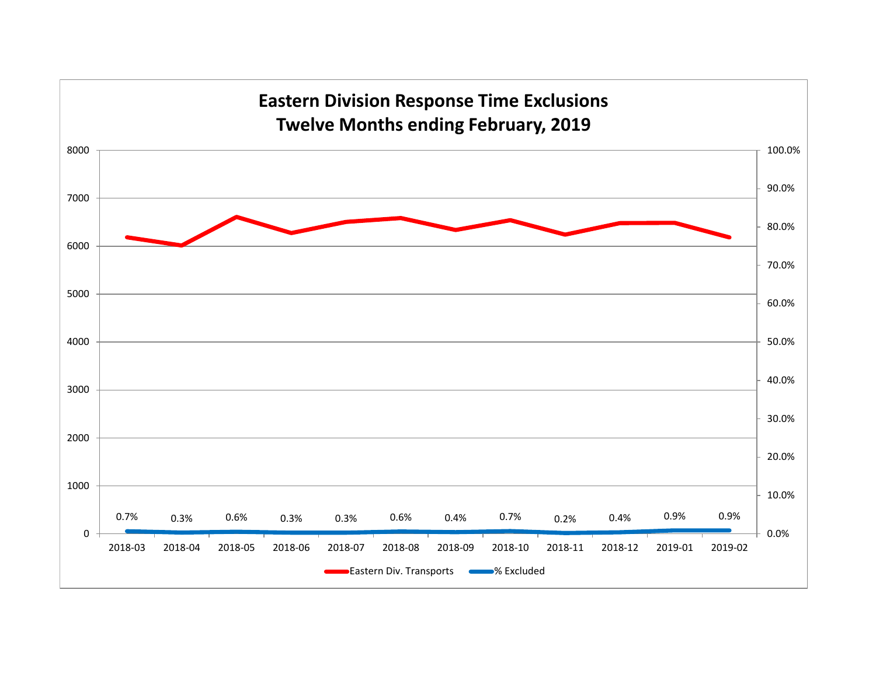